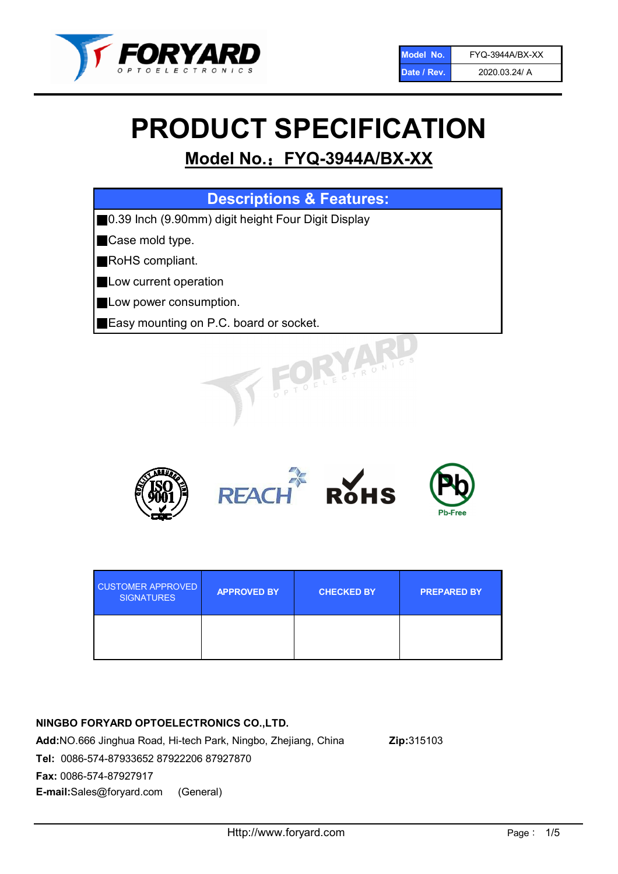

# PRODUCT SPECIFICATION

# Model No.: FYQ-3944A/BX-XX

| <b>Descriptions &amp; Features:</b>                |
|----------------------------------------------------|
| 0.39 Inch (9.90mm) digit height Four Digit Display |
| Case mold type.                                    |
| RoHS compliant.                                    |
| Low current operation                              |
| Low power consumption.                             |
| Easy mounting on P.C. board or socket.             |
| TOELECTRONIC                                       |



| <b>CUSTOMER APPROVED</b><br><b>SIGNATURES</b> | <b>APPROVED BY</b> | <b>CHECKED BY</b> | <b>PREPARED BY</b> |
|-----------------------------------------------|--------------------|-------------------|--------------------|
|                                               |                    |                   |                    |

# NINGBO FORYARD OPTOELECTRONICS CO.,LTD.

Add:NO.666 Jinghua Road, Hi-tech Park, Ningbo, Zhejiang, China Zip:315103 Tel: 0086-574-87933652 87922206 87927870 Fax: 0086-574-87927917 E-mail:Sales@foryard.com (General)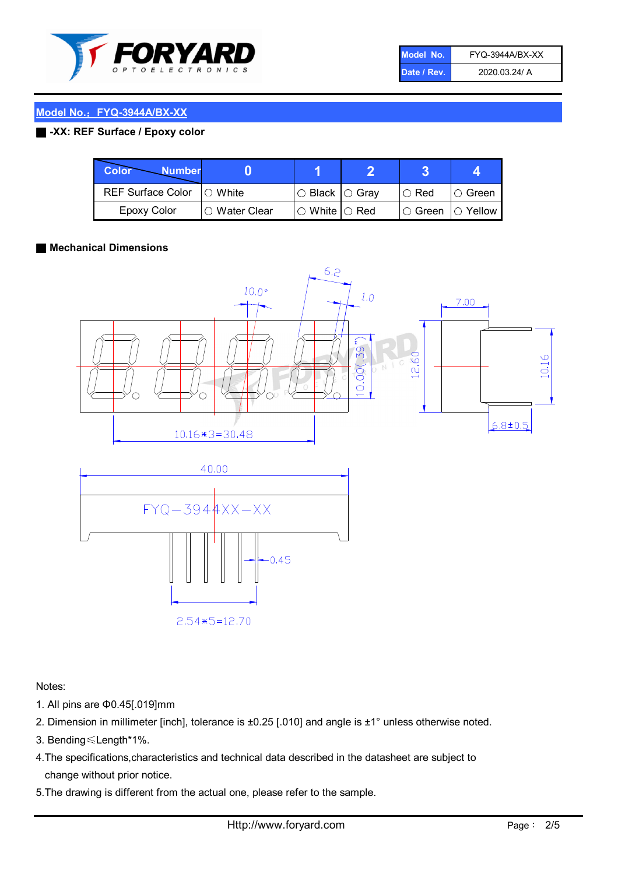

| Model No.   | FYQ-3944A/BX-XX |
|-------------|-----------------|
| Date / Rev. | 2020.03.24/ A   |

# Model No.: FYQ-3944A/BX-XX

#### ■ -XX: REF Surface / Epoxy color

| Color<br><b>Number</b>     |                 |                           |             |                |
|----------------------------|-----------------|---------------------------|-------------|----------------|
| REF Surface Color  ○ White |                 | ○ Black  ○ Gray           | $\circ$ Red | IO Green       |
| Epoxy Color                | l ⊜ Water Clear | $\circ$ White $\circ$ Red | I⊖ Green    | $\circ$ Yellow |

#### ■ Mechanical Dimensions



 $2.54*5=12.70$ 

Notes:

- 1. All pins are Φ0.45[.019]mm
- 2. Dimension in millimeter [inch], tolerance is ±0.25 [.010] and angle is ±1° unless otherwise noted.
- 3. Bending≤Length\*1%.
- 4.The specifications,characteristics and technical data described in the datasheet are subject to change without prior notice.
- 5.The drawing is different from the actual one, please refer to the sample.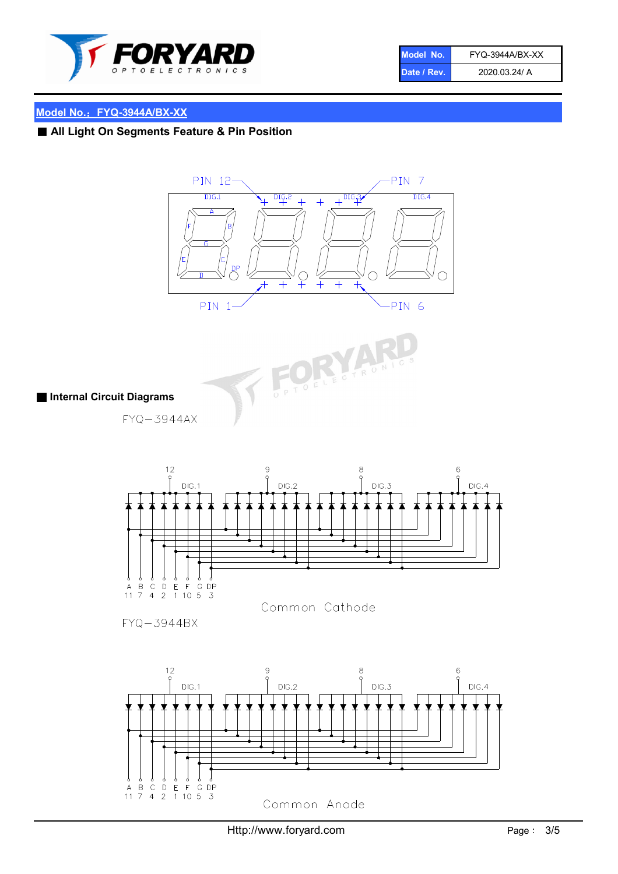

| Model No.   | FYQ-3944A/BX-XX |
|-------------|-----------------|
| Date / Rev. | 2020.03.24/ A   |

# Model No.: FYQ-3944A/BX-XX

# ■ All Light On Segments Feature & Pin Position





# ■ Internal Circuit Diagrams

 $FYQ - 3944AX$ 



 $FYQ - 3944BX$ 

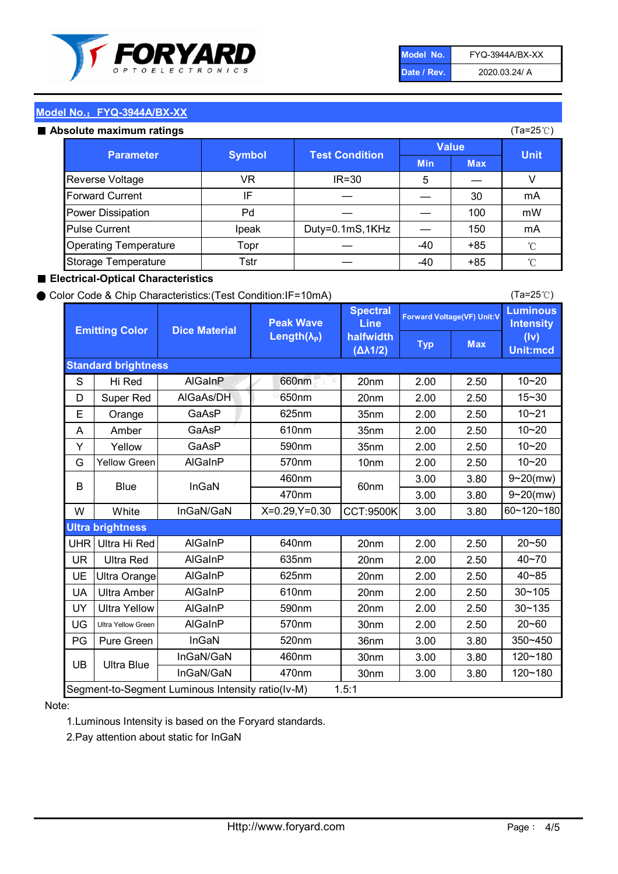

| Model No.   | FYQ-3944A/BX-XX |
|-------------|-----------------|
| Date / Rev. | 2020.03.24/ A   |

(Ta=25℃)

### Model No.: FYQ-3944A/BX-XX

#### Absolute maximum

| solute maximum ratings       |               |                       |              |            | (Ta=25℃)    |
|------------------------------|---------------|-----------------------|--------------|------------|-------------|
| <b>Parameter</b>             | <b>Symbol</b> | <b>Test Condition</b> | <b>Value</b> |            |             |
|                              |               |                       | <b>Min</b>   | <b>Max</b> | <b>Unit</b> |
| Reverse Voltage              | VR            | $IR = 30$             | 5            |            |             |
| <b>Forward Current</b>       | IF            |                       |              | 30         | mA          |
| Power Dissipation            | Pd            |                       |              | 100        | mW          |
| <b>Pulse Current</b>         | Ipeak         | Duty=0.1mS,1KHz       |              | 150        | mA          |
| <b>Operating Temperature</b> | Topr          |                       | $-40$        | $+85$      | °C          |
| Storage Temperature          | Tstr          |                       | -40          | $+85$      | °C          |

#### ■ Electrical-Optical Characteristics

#### ● Color Code & Chip Characteristics:(Test Condition:IF=10mA)

Typ Max S | Hi $\textsf{Red}$  | AlGaInP | 660nm LE 20nm | 2.00 | 2.50 D | Super Red | AIGaAs/DH | 650nm | 20nm | 2.00 | 2.50 E | Orange | GaAsP | 625nm | 35nm | 2.00 | 2.50 A | Amber | GaAsP | 610nm | 35nm | 2.00 | 2.50 Y | Yellow | GaAsP | 590nm | 35nm | 2.00 | 2.50 G Yellow Green AIGaInP | 570nm | 10nm | 2.00 | 2.50 3.00 3.80 3.00 3.80 W | White | InGaN/GaN | X=0.29,Y=0.30 |CCT:9500K| 3.00 | 3.80 UHR Ultra Hi Red  $\vert$  AIGaInP  $\vert$  640nm  $\vert$  20nm  $\vert$  2.00  $\vert$  2.50 UR | Ultra Red | AlGaInP | 635nm | 20nm | 2.00 | 2.50 UE Ultra Orange | AIGaInP | 625nm | 20nm | 2.00 | 2.50 UA Ultra Amber | AIGaInP | 610nm | 20nm | 2.00 | 2.50  $UV$  Ultra Yellow  $\vert$  AlGaInP  $\vert$  590nm  $\vert$  20nm  $\vert$  2.00  $\vert$  2.50  $\text{UG}$  Ultra Yellow Green | AIGaInP | 570nm | 30nm | 2.00 | 2.50 PG Pure Green | InGaN | 520nm | 36nm | 3.00 | 3.80 30nm 3.00 3.80 30nm 3.00 3.80 10~20 Standard brightness Forward Voltage(VF) Unit:V 15~30 10~20 10~20 625nm GaAsP 590nm **Emitting Color Dice Material** 10~21 610nm Luminous **Intensity** (Iv) Unit:mcd AlGainP 660nm GaAsP GaAsP AlGaAs/DH **Spectral** Line halfwidth (∆λ1/2) Peak Wave Length $(\lambda_{\rm P})$ UB 460nm 635nm AlGaInP AlGaInP AlGaInP InGaN/GaN AlGaInP | 570nm | 10nm | 2.00 | 2.50 | 10~20 30~105 30~135 460nm 520nm Ultra brightness **AlGaInP** AlGaInP 60nm AlGaInP 640nm Segment-to-Segment Luminous Intensity ratio(Iv-M) 1.5:1 610nm 9~20(mw) 350~450 470nm 120~180 120~180 Ultra Blue InGaN/GaN 9~20(mw) 20~50 570nm | 30nm | 2.00 | 2.50 | 20~60 470nm 590nm InGaN/GaN B Blue I InGaN 40~85 60~120~180 40~70

#### Note:

1.Luminous Intensity is based on the Foryard standards.

2.Pay attention about static for InGaN